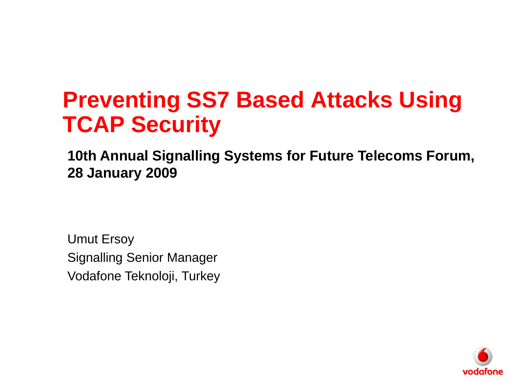# **Preventing SS7 Based Attacks Using TCAP Security**

**10th Annual Signalling Systems for Future Telecoms Forum, 28 January 2009**

Umut Ersoy Signalling Senior Manager Vodafone Teknoloji, Turkey

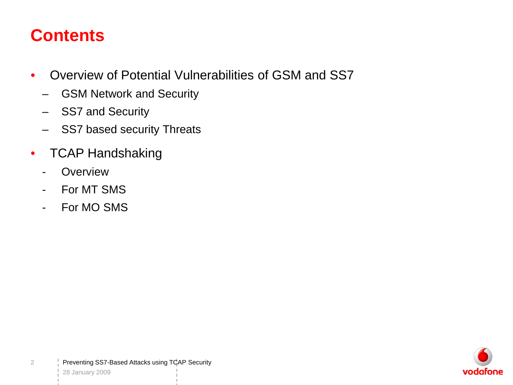#### **Contents**

- Overview of Potential Vulnerabilities of GSM and SS7
	- GSM Network and Security
	- SS7 and Security
	- SS7 based security Threats
- TCAP Handshaking
	- Overview
	- For MT SMS
	- For MO SMS

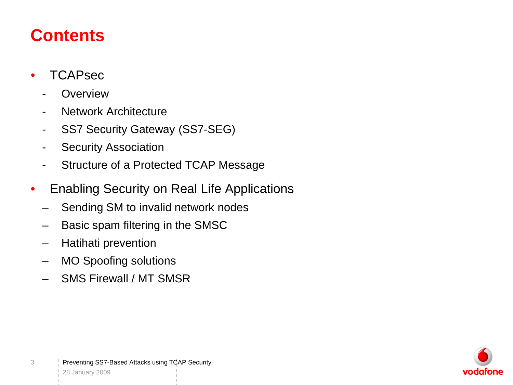#### **Contents**

- TCAPsec
	- **Overview**
	- Network Architecture
	- SS7 Security Gateway (SS7-SEG)
	- Security Association
	- Structure of a Protected TCAP Message
- Enabling Security on Real Life Applications
	- Sending SM to invalid network nodes
	- Basic spam filtering in the SMSC
	- Hatihati prevention
	- MO Spoofing solutions
	- SMS Firewall / MT SMSR

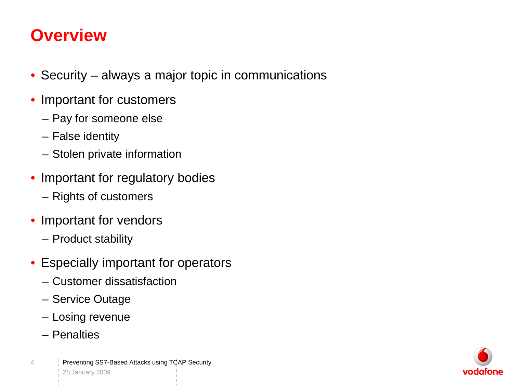#### **Overview**

- Security always a major topic in communications
- Important for customers
	- Pay for someone else
	- False identity
	- Stolen private information
- Important for regulatory bodies
	- Rights of customers
- Important for vendors
	- Product stability
- Especially important for operators
	- Customer dissatisfaction
	- Service Outage
	- Losing revenue
	- Penalties

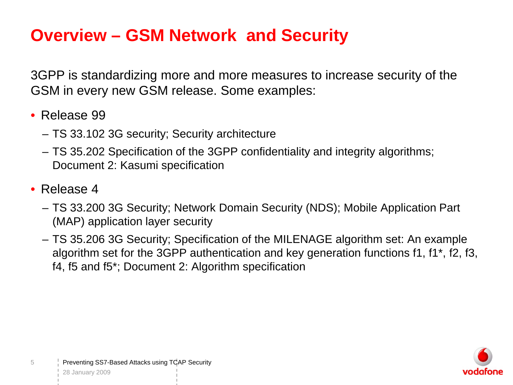#### **Overview – GSM Network and Security**

3GPP is standardizing more and more measures to increase security of the GSM in every new GSM release. Some examples:

- Release 99
	- TS 33.102 3G security; Security architecture
	- TS 35.202 Specification of the 3GPP confidentiality and integrity algorithms; Document 2: Kasumi specification
- Release 4

5

- TS 33.200 3G Security; Network Domain Security (NDS); Mobile Application Part (MAP) application layer security
- TS 35.206 3G Security; Specification of the MILENAGE algorithm set: An example algorithm set for the 3GPP authentication and key generation functions f1, f1\*, f2, f3, f4, f5 and f5\*; Document 2: Algorithm specification

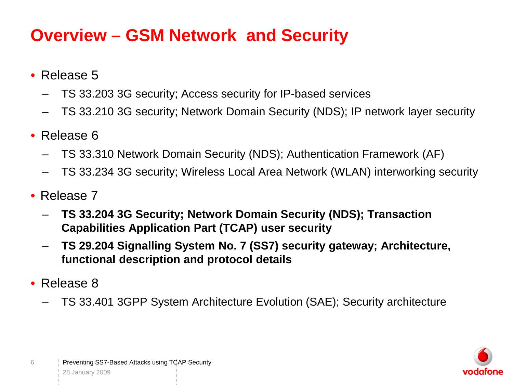#### **Overview – GSM Network and Security**

- Release 5
	- TS 33.203 3G security; Access security for IP-based services
	- TS 33.210 3G security; Network Domain Security (NDS); IP network layer security
- Release 6
	- TS 33.310 Network Domain Security (NDS); Authentication Framework (AF)
	- TS 33.234 3G security; Wireless Local Area Network (WLAN) interworking security
- Release 7
	- **TS 33.204 3G Security; Network Domain Security (NDS); Transaction Capabilities Application Part (TCAP) user security**
	- **TS 29.204 Signalling System No. 7 (SS7) security gateway; Architecture, functional description and protocol details**
- Release 8
	- TS 33.401 3GPP System Architecture Evolution (SAE); Security architecture

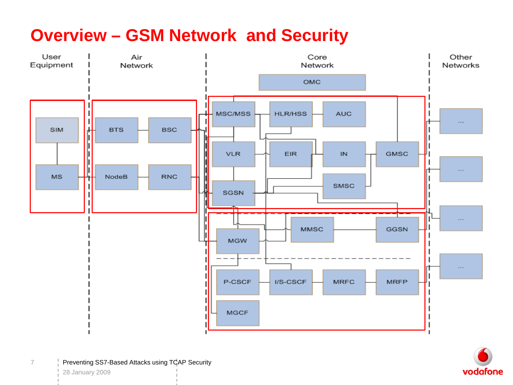#### **Overview – GSM Network and Security**





Preventing SS7-Based Attacks using TCAP Security 28 January 2009

7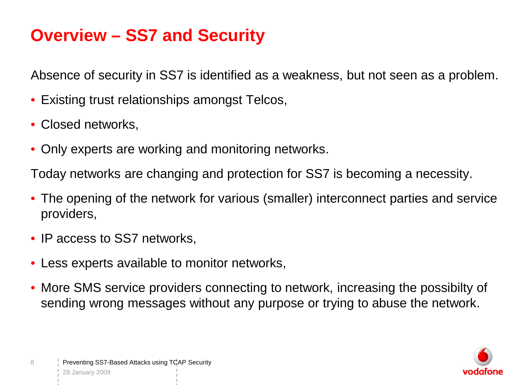#### **Overview – SS7 and Security**

Absence of security in SS7 is identified as a weakness, but not seen as a problem.

- Existing trust relationships amongst Telcos,
- Closed networks,
- Only experts are working and monitoring networks.

Today networks are changing and protection for SS7 is becoming a necessity.

- The opening of the network for various (smaller) interconnect parties and service providers,
- IP access to SS7 networks.
- Less experts available to monitor networks,
- More SMS service providers connecting to network, increasing the possibilty of sending wrong messages without any purpose or trying to abuse the network.

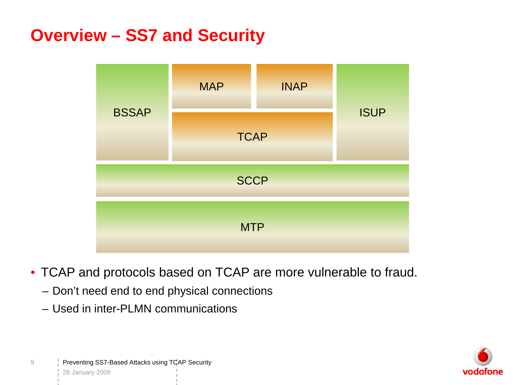#### **Overview – SS7 and Security**



- TCAP and protocols based on TCAP are more vulnerable to fraud.
	- Don't need end to end physical connections
	- Used in inter-PLMN communications

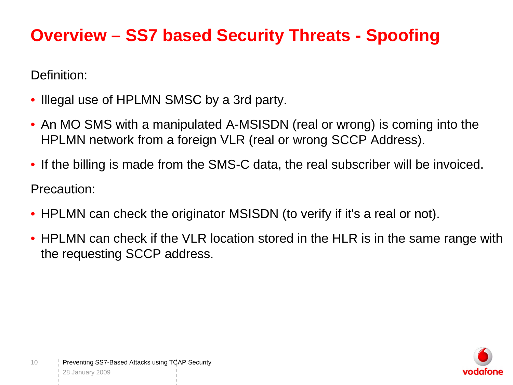#### **Overview – SS7 based Security Threats - Spoofing**

Definition:

- Illegal use of HPLMN SMSC by a 3rd party.
- An MO SMS with a manipulated A-MSISDN (real or wrong) is coming into the HPLMN network from a foreign VLR (real or wrong SCCP Address).
- If the billing is made from the SMS-C data, the real subscriber will be invoiced. Precaution:
- HPLMN can check the originator MSISDN (to verify if it's a real or not).
- HPLMN can check if the VLR location stored in the HLR is in the same range with the requesting SCCP address.

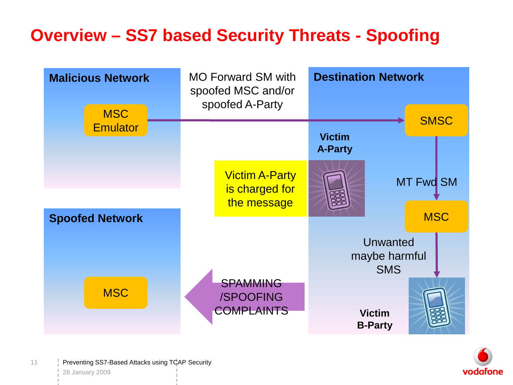#### **Overview – SS7 based Security Threats - Spoofing**



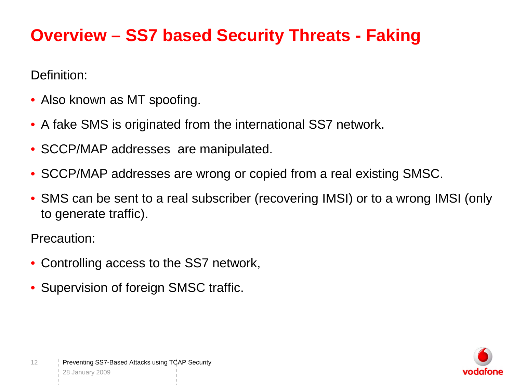#### **Overview – SS7 based Security Threats - Faking**

Definition:

- Also known as MT spoofing.
- A fake SMS is originated from the international SS7 network.
- SCCP/MAP addresses are manipulated.
- SCCP/MAP addresses are wrong or copied from a real existing SMSC.
- SMS can be sent to a real subscriber (recovering IMSI) or to a wrong IMSI (only to generate traffic).

Precaution:

- Controlling access to the SS7 network,
- Supervision of foreign SMSC traffic.

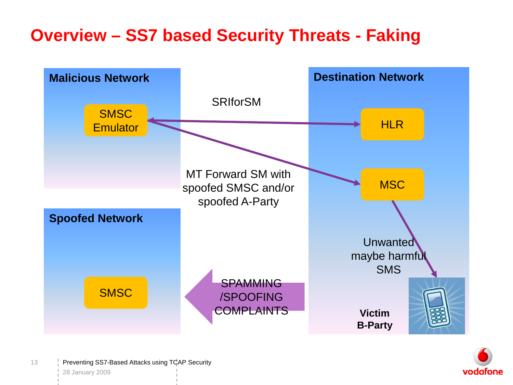#### **Overview – SS7 based Security Threats - Faking**



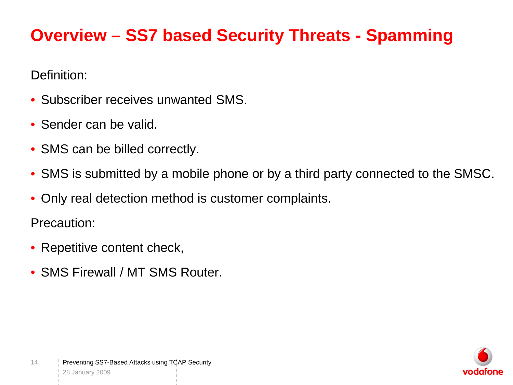## **Overview – SS7 based Security Threats - Spamming**

Definition:

- Subscriber receives unwanted SMS.
- Sender can be valid.
- SMS can be billed correctly.
- SMS is submitted by a mobile phone or by a third party connected to the SMSC.
- Only real detection method is customer complaints.

Precaution:

- Repetitive content check,
- SMS Firewall / MT SMS Router.

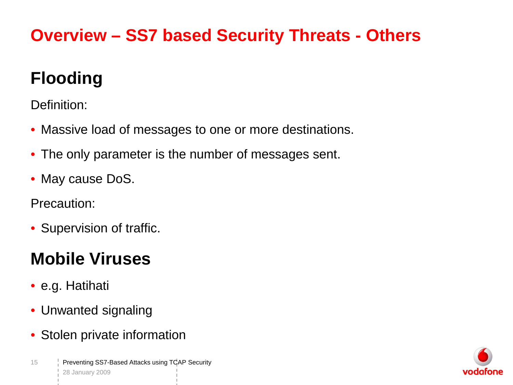# **Overview – SS7 based Security Threats - Others**

# **Flooding**

Definition:

- Massive load of messages to one or more destinations.
- The only parameter is the number of messages sent.
- May cause DoS.

Precaution:

• Supervision of traffic.

# **Mobile Viruses**

- e.g. Hatihati
- Unwanted signaling
- Stolen private information

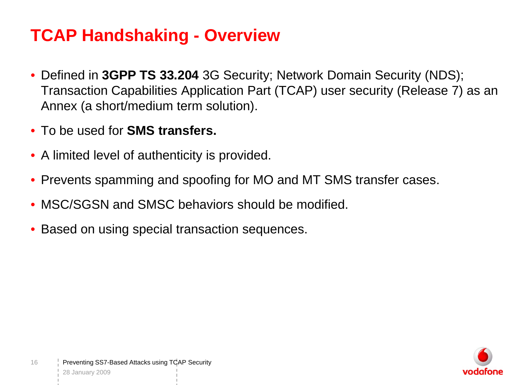#### **TCAP Handshaking - Overview**

- Defined in **3GPP TS 33.204** 3G Security; Network Domain Security (NDS); Transaction Capabilities Application Part (TCAP) user security (Release 7) as an Annex (a short/medium term solution).
- To be used for **SMS transfers.**
- A limited level of authenticity is provided.
- Prevents spamming and spoofing for MO and MT SMS transfer cases.
- MSC/SGSN and SMSC behaviors should be modified.
- Based on using special transaction sequences.

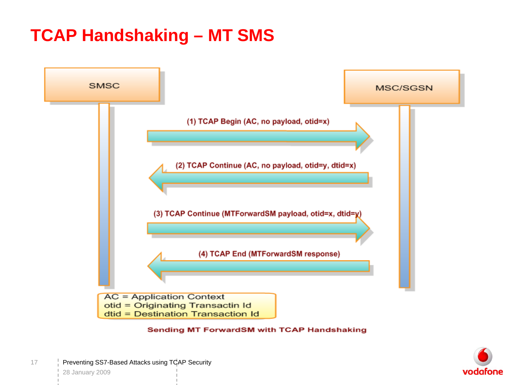#### **TCAP Handshaking – MT SMS**



#### **Sending MT ForwardSM with TCAP Handshaking**

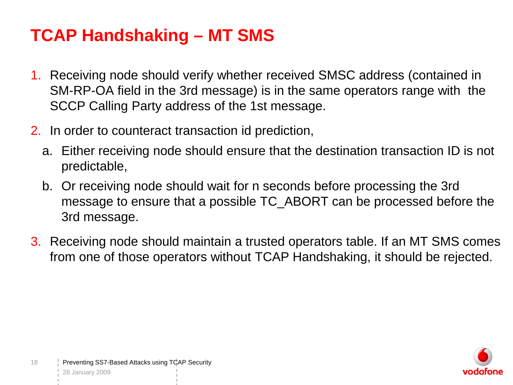#### **TCAP Handshaking – MT SMS**

- 1. Receiving node should verify whether received SMSC address (contained in SM-RP-OA field in the 3rd message) is in the same operators range with the SCCP Calling Party address of the 1st message.
- 2. In order to counteract transaction id prediction,
	- a. Either receiving node should ensure that the destination transaction ID is not predictable,
	- b. Or receiving node should wait for n seconds before processing the 3rd message to ensure that a possible TC\_ABORT can be processed before the 3rd message.
- 3. Receiving node should maintain a trusted operators table. If an MT SMS comes from one of those operators without TCAP Handshaking, it should be rejected.

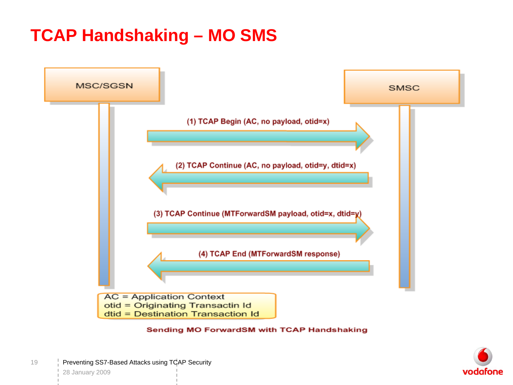#### **TCAP Handshaking – MO SMS**



#### Sending MO ForwardSM with TCAP Handshaking

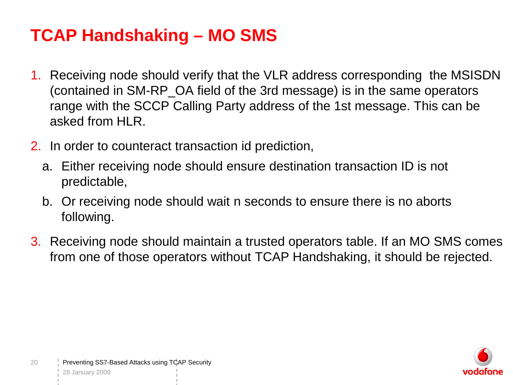#### **TCAP Handshaking – MO SMS**

- 1. Receiving node should verify that the VLR address corresponding the MSISDN (contained in SM-RP\_OA field of the 3rd message) is in the same operators range with the SCCP Calling Party address of the 1st message. This can be asked from HLR.
- 2. In order to counteract transaction id prediction,
	- a. Either receiving node should ensure destination transaction ID is not predictable,
	- b. Or receiving node should wait n seconds to ensure there is no aborts following.
- 3. Receiving node should maintain a trusted operators table. If an MO SMS comes from one of those operators without TCAP Handshaking, it should be rejected.

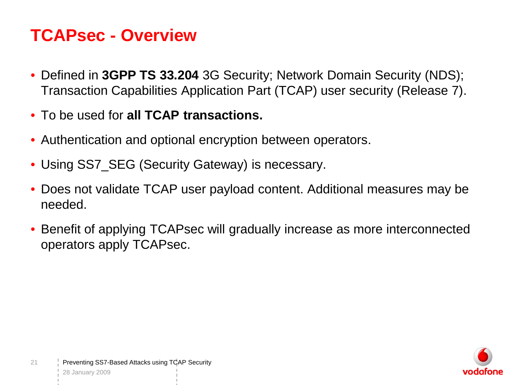#### **TCAPsec - Overview**

- Defined in **3GPP TS 33.204** 3G Security; Network Domain Security (NDS); Transaction Capabilities Application Part (TCAP) user security (Release 7).
- To be used for **all TCAP transactions.**
- Authentication and optional encryption between operators.
- Using SS7\_SEG (Security Gateway) is necessary.
- Does not validate TCAP user payload content. Additional measures may be needed.
- Benefit of applying TCAPsec will gradually increase as more interconnected operators apply TCAPsec.

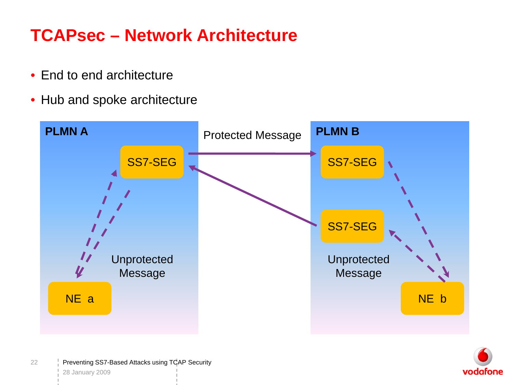## **TCAPsec – Network Architecture**

- End to end architecture
- Hub and spoke architecture



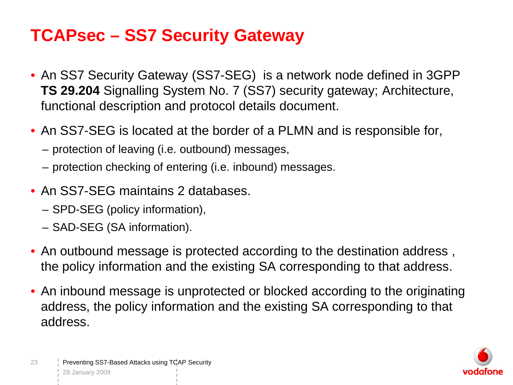#### **TCAPsec – SS7 Security Gateway**

- An SS7 Security Gateway (SS7-SEG) is a network node defined in 3GPP **TS 29.204** Signalling System No. 7 (SS7) security gateway; Architecture, functional description and protocol details document.
- An SS7-SEG is located at the border of a PLMN and is responsible for,
	- protection of leaving (i.e. outbound) messages,
	- protection checking of entering (i.e. inbound) messages.
- An SS7-SEG maintains 2 databases.
	- SPD-SEG (policy information),
	- SAD-SEG (SA information).
- An outbound message is protected according to the destination address , the policy information and the existing SA corresponding to that address.
- An inbound message is unprotected or blocked according to the originating address, the policy information and the existing SA corresponding to that address.

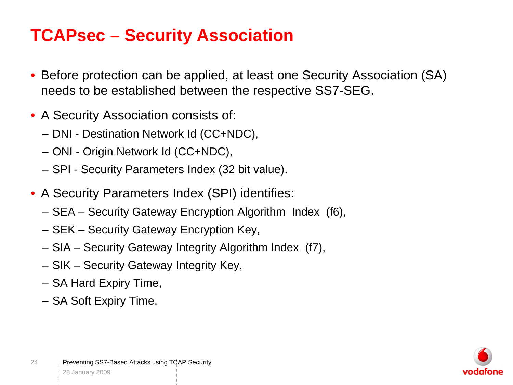#### **TCAPsec – Security Association**

- Before protection can be applied, at least one Security Association (SA) needs to be established between the respective SS7-SEG.
- A Security Association consists of:
	- DNI Destination Network Id (CC+NDC),
	- ONI Origin Network Id (CC+NDC),
	- SPI Security Parameters Index (32 bit value).
- A Security Parameters Index (SPI) identifies:
	- SEA Security Gateway Encryption Algorithm Index (f6),
	- SEK Security Gateway Encryption Key,
	- SIA Security Gateway Integrity Algorithm Index (f7),
	- SIK Security Gateway Integrity Key,
	- SA Hard Expiry Time,
	- SA Soft Expiry Time.

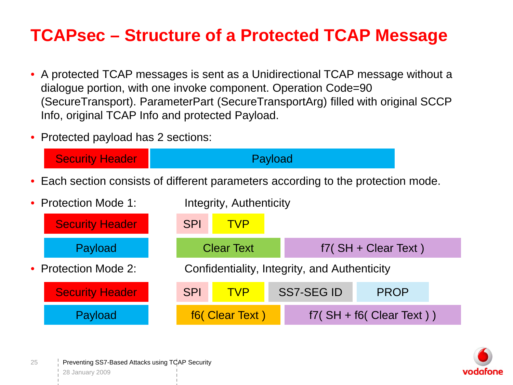#### **TCAPsec – Structure of a Protected TCAP Message**

- A protected TCAP messages is sent as a Unidirectional TCAP message without a dialogue portion, with one invoke component. Operation Code=90 (SecureTransport). ParameterPart (SecureTransportArg) filled with original SCCP Info, original TCAP Info and protected Payload.
- Protected payload has 2 sections:



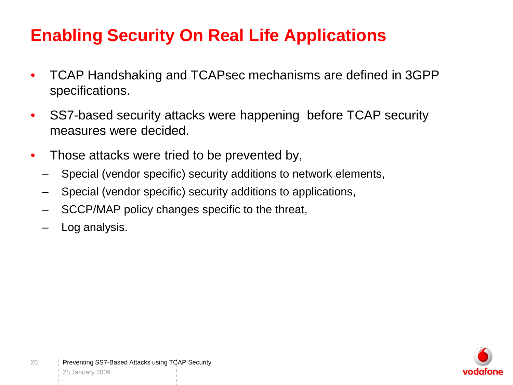- TCAP Handshaking and TCAPsec mechanisms are defined in 3GPP specifications.
- SS7-based security attacks were happening before TCAP security measures were decided.
- Those attacks were tried to be prevented by,
	- Special (vendor specific) security additions to network elements,
	- Special (vendor specific) security additions to applications,
	- SCCP/MAP policy changes specific to the threat,
	- Log analysis.

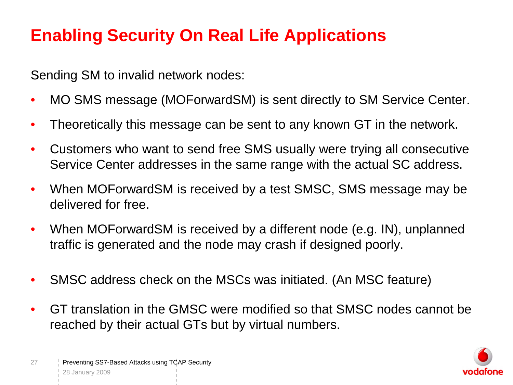Sending SM to invalid network nodes:

- MO SMS message (MOForwardSM) is sent directly to SM Service Center.
- Theoretically this message can be sent to any known GT in the network.
- Customers who want to send free SMS usually were trying all consecutive Service Center addresses in the same range with the actual SC address.
- When MOForwardSM is received by a test SMSC, SMS message may be delivered for free.
- When MOForwardSM is received by a different node (e.g. IN), unplanned traffic is generated and the node may crash if designed poorly.
- SMSC address check on the MSCs was initiated. (An MSC feature)
- GT translation in the GMSC were modified so that SMSC nodes cannot be reached by their actual GTs but by virtual numbers.

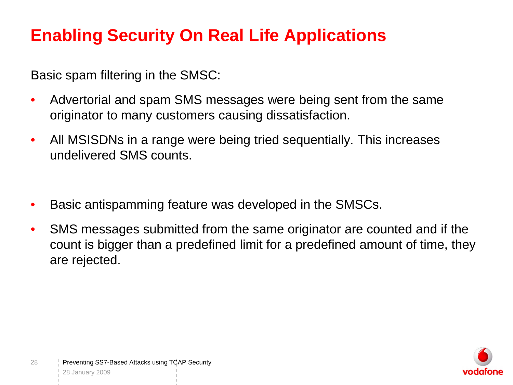Basic spam filtering in the SMSC:

- Advertorial and spam SMS messages were being sent from the same originator to many customers causing dissatisfaction.
- All MSISDNs in a range were being tried sequentially. This increases undelivered SMS counts.
- Basic antispamming feature was developed in the SMSCs.
- SMS messages submitted from the same originator are counted and if the count is bigger than a predefined limit for a predefined amount of time, they are rejected.

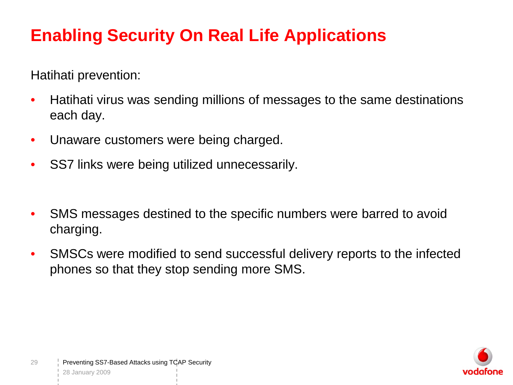Hatihati prevention:

- Hatihati virus was sending millions of messages to the same destinations each day.
- Unaware customers were being charged.
- SS7 links were being utilized unnecessarily.
- SMS messages destined to the specific numbers were barred to avoid charging.
- SMSCs were modified to send successful delivery reports to the infected phones so that they stop sending more SMS.

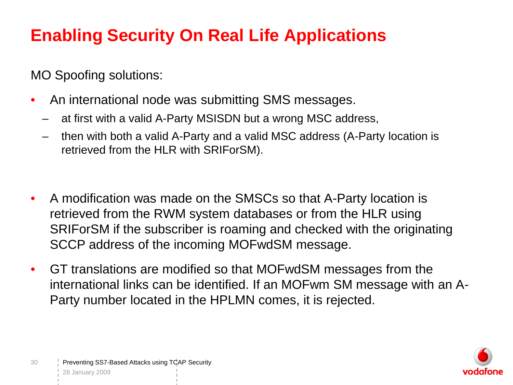MO Spoofing solutions:

- An international node was submitting SMS messages.
	- at first with a valid A-Party MSISDN but a wrong MSC address,
	- then with both a valid A-Party and a valid MSC address (A-Party location is retrieved from the HLR with SRIForSM).
- A modification was made on the SMSCs so that A-Party location is retrieved from the RWM system databases or from the HLR using SRIForSM if the subscriber is roaming and checked with the originating SCCP address of the incoming MOFwdSM message.
- GT translations are modified so that MOFwdSM messages from the international links can be identified. If an MOFwm SM message with an A-Party number located in the HPLMN comes, it is rejected.

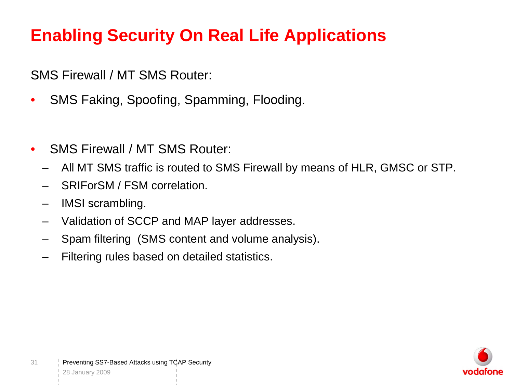SMS Firewall / MT SMS Router:

- SMS Faking, Spoofing, Spamming, Flooding.
- SMS Firewall / MT SMS Router:
	- All MT SMS traffic is routed to SMS Firewall by means of HLR, GMSC or STP.
	- SRIForSM / FSM correlation.
	- IMSI scrambling.
	- Validation of SCCP and MAP layer addresses.
	- Spam filtering (SMS content and volume analysis).
	- Filtering rules based on detailed statistics.

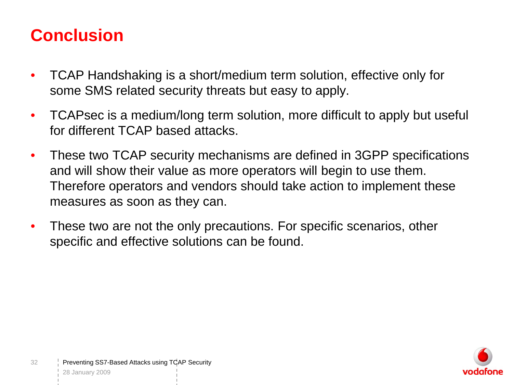#### **Conclusion**

- TCAP Handshaking is a short/medium term solution, effective only for some SMS related security threats but easy to apply.
- TCAPsec is a medium/long term solution, more difficult to apply but useful for different TCAP based attacks.
- These two TCAP security mechanisms are defined in 3GPP specifications and will show their value as more operators will begin to use them. Therefore operators and vendors should take action to implement these measures as soon as they can.
- These two are not the only precautions. For specific scenarios, other specific and effective solutions can be found.